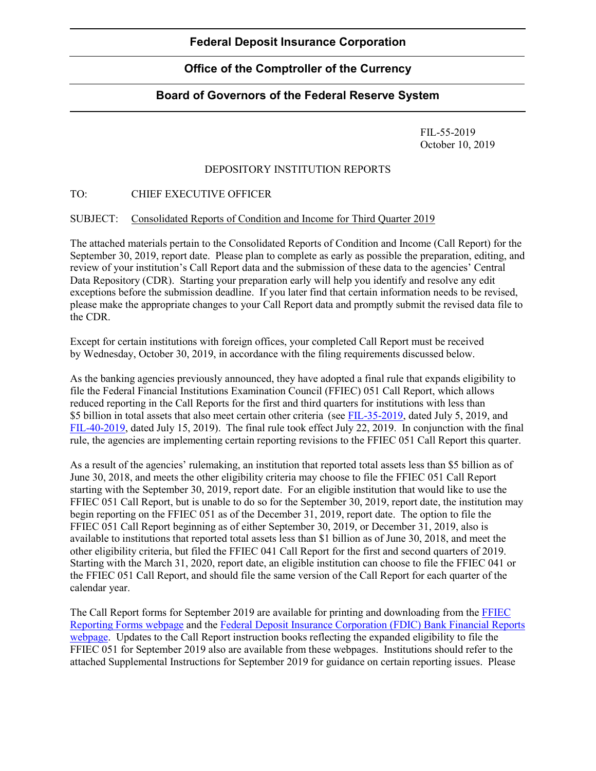# **Office of the Comptroller of the Currency**

## **Board of Governors of the Federal Reserve System**

FIL-55-2019 October 10, 2019

### DEPOSITORY INSTITUTION REPORTS

### TO: CHIEF EXECUTIVE OFFICER

### SUBJECT: Consolidated Reports of Condition and Income for Third Quarter 2019

The attached materials pertain to the Consolidated Reports of Condition and Income (Call Report) for the September 30, 2019, report date. Please plan to complete as early as possible the preparation, editing, and review of your institution's Call Report data and the submission of these data to the agencies' Central Data Repository (CDR). Starting your preparation early will help you identify and resolve any edit exceptions before the submission deadline. If you later find that certain information needs to be revised, please make the appropriate changes to your Call Report data and promptly submit the revised data file to the CDR.

Except for certain institutions with foreign offices, your completed Call Report must be received by Wednesday, October 30, 2019, in accordance with the filing requirements discussed below.

As the banking agencies previously announced, they have adopted a final rule that expands eligibility to file the Federal Financial Institutions Examination Council (FFIEC) 051 Call Report, which allows reduced reporting in the Call Reports for the first and third quarters for institutions with less than \$5 billion in total assets that also meet certain other criteria (see [FIL-35-2019,](https://www.fdic.gov/news/news/financial/2019/fil19035.html) dated July 5, 2019, and [FIL-40-2019,](https://www.fdic.gov/news/news/financial/2019/fil19040.html) dated July 15, 2019). The final rule took effect July 22, 2019. In conjunction with the final rule, the agencies are implementing certain reporting revisions to the FFIEC 051 Call Report this quarter.

As a result of the agencies' rulemaking, an institution that reported total assets less than \$5 billion as of June 30, 2018, and meets the other eligibility criteria may choose to file the FFIEC 051 Call Report starting with the September 30, 2019, report date. For an eligible institution that would like to use the FFIEC 051 Call Report, but is unable to do so for the September 30, 2019, report date, the institution may begin reporting on the FFIEC 051 as of the December 31, 2019, report date. The option to file the FFIEC 051 Call Report beginning as of either September 30, 2019, or December 31, 2019, also is available to institutions that reported total assets less than \$1 billion as of June 30, 2018, and meet the other eligibility criteria, but filed the FFIEC 041 Call Report for the first and second quarters of 2019. Starting with the March 31, 2020, report date, an eligible institution can choose to file the FFIEC 041 or the FFIEC 051 Call Report, and should file the same version of the Call Report for each quarter of the calendar year.

The Call Report forms for September 2019 are available for printing and downloading from the [FFIEC](https://www.ffiec.gov/ffiec_report_forms.htm)  [Reporting Forms webpage](https://www.ffiec.gov/ffiec_report_forms.htm) and the [Federal Deposit Insurance Corporation \(FDIC\) Bank Financial Reports](https://www.fdic.gov/regulations/resources/call/index.html)  [webpage.](https://www.fdic.gov/regulations/resources/call/index.html) Updates to the Call Report instruction books reflecting the expanded eligibility to file the FFIEC 051 for September 2019 also are available from these webpages. Institutions should refer to the attached Supplemental Instructions for September 2019 for guidance on certain reporting issues. Please